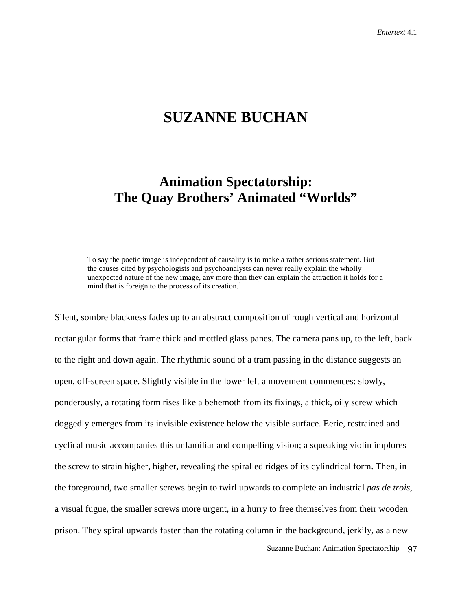# **SUZANNE BUCHAN**

## **Animation Spectatorship: The Quay Brothers' Animated "Worlds"**

To say the poetic image is independent of causality is to make a rather serious statement. But the causes cited by psychologists and psychoanalysts can never really explain the wholly unexpected nature of the new image, any more than they can explain the attraction it holds for a mind that is foreign to the process of its creation.<sup>1</sup>

Silent, sombre blackness fades up to an abstract composition of rough vertical and horizontal rectangular forms that frame thick and mottled glass panes. The camera pans up, to the left, back to the right and down again. The rhythmic sound of a tram passing in the distance suggests an open, off-screen space. Slightly visible in the lower left a movement commences: slowly, ponderously, a rotating form rises like a behemoth from its fixings, a thick, oily screw which doggedly emerges from its invisible existence below the visible surface. Eerie, restrained and cyclical music accompanies this unfamiliar and compelling vision; a squeaking violin implores the screw to strain higher, higher, revealing the spiralled ridges of its cylindrical form. Then, in the foreground, two smaller screws begin to twirl upwards to complete an industrial *pas de trois*, a visual fugue, the smaller screws more urgent, in a hurry to free themselves from their wooden prison. They spiral upwards faster than the rotating column in the background, jerkily, as a new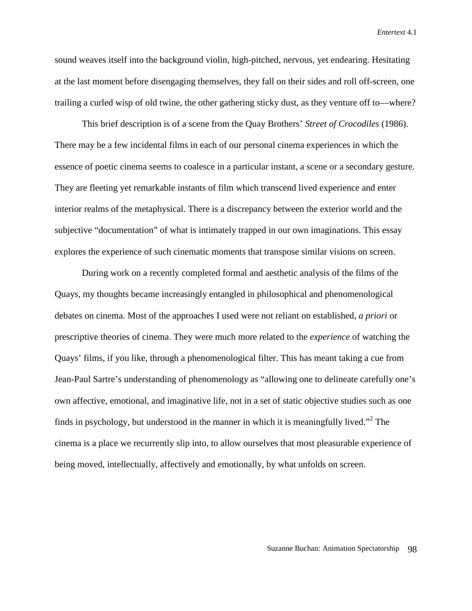sound weaves itself into the background violin, high-pitched, nervous, yet endearing. Hesitating at the last moment before disengaging themselves, they fall on their sides and roll off-screen, one trailing a curled wisp of old twine, the other gathering sticky dust, as they venture off to—where?

This brief description is of a scene from the Quay Brothers' *Street of Crocodiles* (1986). There may be a few incidental films in each of our personal cinema experiences in which the essence of poetic cinema seems to coalesce in a particular instant, a scene or a secondary gesture. They are fleeting yet remarkable instants of film which transcend lived experience and enter interior realms of the metaphysical. There is a discrepancy between the exterior world and the subjective "documentation" of what is intimately trapped in our own imaginations. This essay explores the experience of such cinematic moments that transpose similar visions on screen.

During work on a recently completed formal and aesthetic analysis of the films of the Quays, my thoughts became increasingly entangled in philosophical and phenomenological debates on cinema. Most of the approaches I used were not reliant on established, *a priori* or prescriptive theories of cinema. They were much more related to the *experience* of watching the Quays' films, if you like, through a phenomenological filter. This has meant taking a cue from Jean-Paul Sartre's understanding of phenomenology as "allowing one to delineate carefully one's own affective, emotional, and imaginative life, not in a set of static objective studies such as one finds in psychology, but understood in the manner in which it is meaningfully lived."<sup>2</sup> The cinema is a place we recurrently slip into, to allow ourselves that most pleasurable experience of being moved, intellectually, affectively and emotionally, by what unfolds on screen.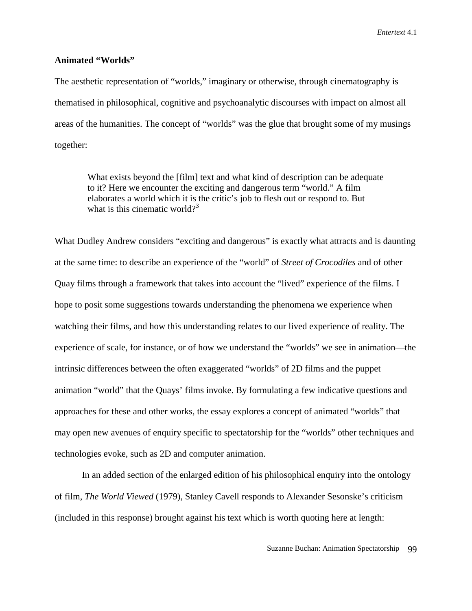## **Animated "Worlds"**

The aesthetic representation of "worlds," imaginary or otherwise, through cinematography is thematised in philosophical, cognitive and psychoanalytic discourses with impact on almost all areas of the humanities. The concept of "worlds" was the glue that brought some of my musings together:

What exists beyond the [film] text and what kind of description can be adequate to it? Here we encounter the exciting and dangerous term "world." A film elaborates a world which it is the critic's job to flesh out or respond to. But what is this cinematic world?<sup>3</sup>

What Dudley Andrew considers "exciting and dangerous" is exactly what attracts and is daunting at the same time: to describe an experience of the "world" of *Street of Crocodiles* and of other Quay films through a framework that takes into account the "lived" experience of the films. I hope to posit some suggestions towards understanding the phenomena we experience when watching their films, and how this understanding relates to our lived experience of reality. The experience of scale, for instance, or of how we understand the "worlds" we see in animation—the intrinsic differences between the often exaggerated "worlds" of 2D films and the puppet animation "world" that the Quays' films invoke. By formulating a few indicative questions and approaches for these and other works, the essay explores a concept of animated "worlds" that may open new avenues of enquiry specific to spectatorship for the "worlds" other techniques and technologies evoke, such as 2D and computer animation.

In an added section of the enlarged edition of his philosophical enquiry into the ontology of film, *The World Viewed* (1979), Stanley Cavell responds to Alexander Sesonske's criticism (included in this response) brought against his text which is worth quoting here at length: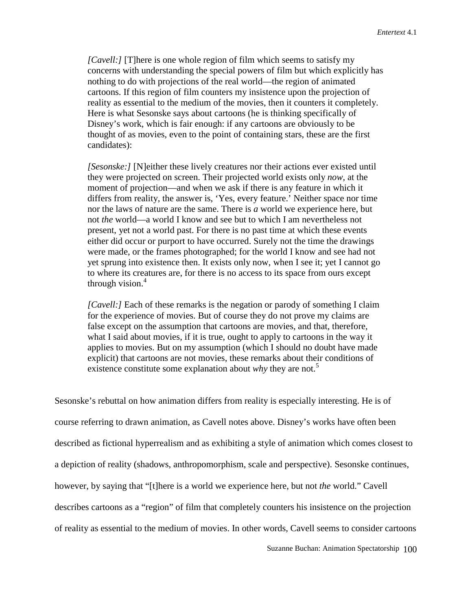*[Cavell:]* [T]here is one whole region of film which seems to satisfy my concerns with understanding the special powers of film but which explicitly has nothing to do with projections of the real world—the region of animated cartoons. If this region of film counters my insistence upon the projection of reality as essential to the medium of the movies, then it counters it completely. Here is what Sesonske says about cartoons (he is thinking specifically of Disney's work, which is fair enough: if any cartoons are obviously to be thought of as movies, even to the point of containing stars, these are the first candidates):

*[Sesonske:]* [N]either these lively creatures nor their actions ever existed until they were projected on screen. Their projected world exists only *now*, at the moment of projection—and when we ask if there is any feature in which it differs from reality, the answer is, 'Yes, every feature.' Neither space nor time nor the laws of nature are the same. There is *a* world we experience here, but not *the* world—a world I know and see but to which I am nevertheless not present, yet not a world past. For there is no past time at which these events either did occur or purport to have occurred. Surely not the time the drawings were made, or the frames photographed; for the world I know and see had not yet sprung into existence then. It exists only now, when I see it; yet I cannot go to where its creatures are, for there is no access to its space from ours except through vision. $4$ 

*[Cavell:]* Each of these remarks is the negation or parody of something I claim for the experience of movies. But of course they do not prove my claims are false except on the assumption that cartoons are movies, and that, therefore, what I said about movies, if it is true, ought to apply to cartoons in the way it applies to movies. But on my assumption (which I should no doubt have made explicit) that cartoons are not movies, these remarks about their conditions of existence constitute some explanation about *why* they are not.<sup>5</sup>

Sesonske's rebuttal on how animation differs from reality is especially interesting. He is of course referring to drawn animation, as Cavell notes above. Disney's works have often been described as fictional hyperrealism and as exhibiting a style of animation which comes closest to a depiction of reality (shadows, anthropomorphism, scale and perspective). Sesonske continues, however, by saying that "[t]here is a world we experience here, but not *the* world." Cavell describes cartoons as a "region" of film that completely counters his insistence on the projection of reality as essential to the medium of movies. In other words, Cavell seems to consider cartoons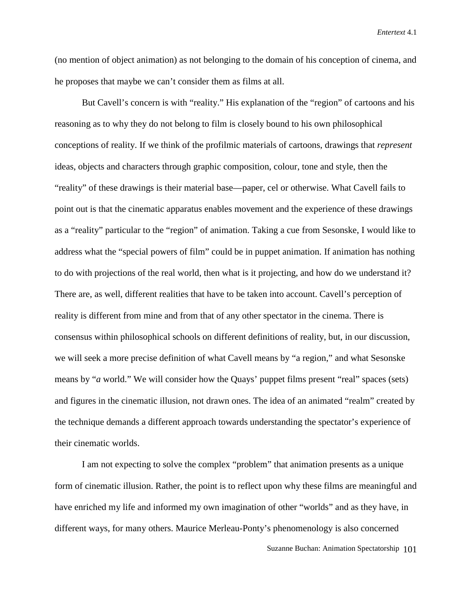(no mention of object animation) as not belonging to the domain of his conception of cinema, and he proposes that maybe we can't consider them as films at all.

But Cavell's concern is with "reality." His explanation of the "region" of cartoons and his reasoning as to why they do not belong to film is closely bound to his own philosophical conceptions of reality. If we think of the profilmic materials of cartoons, drawings that *represent* ideas, objects and characters through graphic composition, colour, tone and style, then the "reality" of these drawings is their material base—paper, cel or otherwise. What Cavell fails to point out is that the cinematic apparatus enables movement and the experience of these drawings as a "reality" particular to the "region" of animation. Taking a cue from Sesonske, I would like to address what the "special powers of film" could be in puppet animation. If animation has nothing to do with projections of the real world, then what is it projecting, and how do we understand it? There are, as well, different realities that have to be taken into account. Cavell's perception of reality is different from mine and from that of any other spectator in the cinema. There is consensus within philosophical schools on different definitions of reality, but, in our discussion, we will seek a more precise definition of what Cavell means by "a region," and what Sesonske means by "*a* world." We will consider how the Quays' puppet films present "real" spaces (sets) and figures in the cinematic illusion, not drawn ones. The idea of an animated "realm" created by the technique demands a different approach towards understanding the spectator's experience of their cinematic worlds.

I am not expecting to solve the complex "problem" that animation presents as a unique form of cinematic illusion. Rather, the point is to reflect upon why these films are meaningful and have enriched my life and informed my own imagination of other "worlds" and as they have, in different ways, for many others. Maurice Merleau-Ponty's phenomenology is also concerned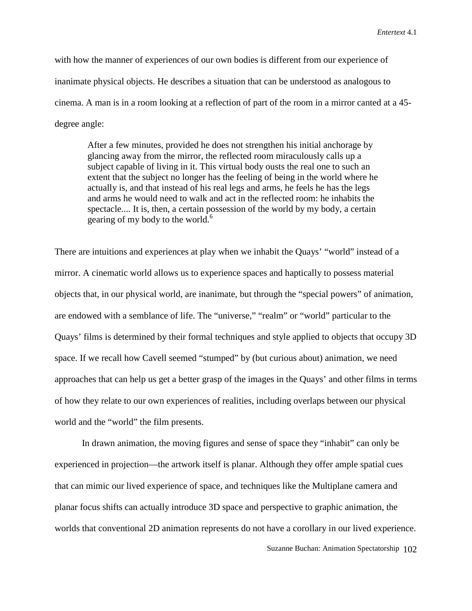with how the manner of experiences of our own bodies is different from our experience of inanimate physical objects. He describes a situation that can be understood as analogous to cinema. A man is in a room looking at a reflection of part of the room in a mirror canted at a 45 degree angle:

After a few minutes, provided he does not strengthen his initial anchorage by glancing away from the mirror, the reflected room miraculously calls up a subject capable of living in it. This virtual body ousts the real one to such an extent that the subject no longer has the feeling of being in the world where he actually is, and that instead of his real legs and arms, he feels he has the legs and arms he would need to walk and act in the reflected room: he inhabits the spectacle.... It is, then, a certain possession of the world by my body, a certain gearing of my body to the world.<sup>6</sup>

There are intuitions and experiences at play when we inhabit the Quays' "world" instead of a mirror. A cinematic world allows us to experience spaces and haptically to possess material objects that, in our physical world, are inanimate, but through the "special powers" of animation, are endowed with a semblance of life. The "universe," "realm" or "world" particular to the Quays' films is determined by their formal techniques and style applied to objects that occupy 3D space. If we recall how Cavell seemed "stumped" by (but curious about) animation, we need approaches that can help us get a better grasp of the images in the Quays' and other films in terms of how they relate to our own experiences of realities, including overlaps between our physical world and the "world" the film presents.

In drawn animation, the moving figures and sense of space they "inhabit" can only be experienced in projection—the artwork itself is planar. Although they offer ample spatial cues that can mimic our lived experience of space, and techniques like the Multiplane camera and planar focus shifts can actually introduce 3D space and perspective to graphic animation, the worlds that conventional 2D animation represents do not have a corollary in our lived experience.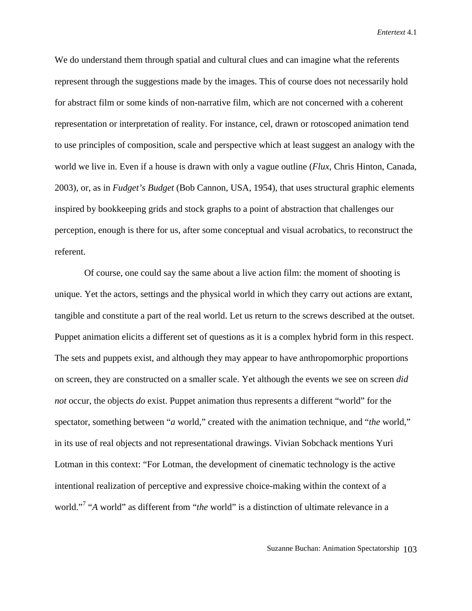We do understand them through spatial and cultural clues and can imagine what the referents represent through the suggestions made by the images. This of course does not necessarily hold for abstract film or some kinds of non-narrative film, which are not concerned with a coherent representation or interpretation of reality. For instance, cel, drawn or rotoscoped animation tend to use principles of composition, scale and perspective which at least suggest an analogy with the world we live in. Even if a house is drawn with only a vague outline (*Flux*, Chris Hinton, Canada, 2003), or, as in *Fudget's Budget* (Bob Cannon, USA, 1954), that uses structural graphic elements inspired by bookkeeping grids and stock graphs to a point of abstraction that challenges our perception, enough is there for us, after some conceptual and visual acrobatics, to reconstruct the referent.

 Of course, one could say the same about a live action film: the moment of shooting is unique. Yet the actors, settings and the physical world in which they carry out actions are extant, tangible and constitute a part of the real world. Let us return to the screws described at the outset. Puppet animation elicits a different set of questions as it is a complex hybrid form in this respect. The sets and puppets exist, and although they may appear to have anthropomorphic proportions on screen, they are constructed on a smaller scale. Yet although the events we see on screen *did not* occur, the objects *do* exist. Puppet animation thus represents a different "world" for the spectator, something between "*a* world," created with the animation technique, and "*the* world," in its use of real objects and not representational drawings. Vivian Sobchack mentions Yuri Lotman in this context: "For Lotman, the development of cinematic technology is the active intentional realization of perceptive and expressive choice-making within the context of a world."<sup>7</sup> "*A* world" as different from "*the* world" is a distinction of ultimate relevance in a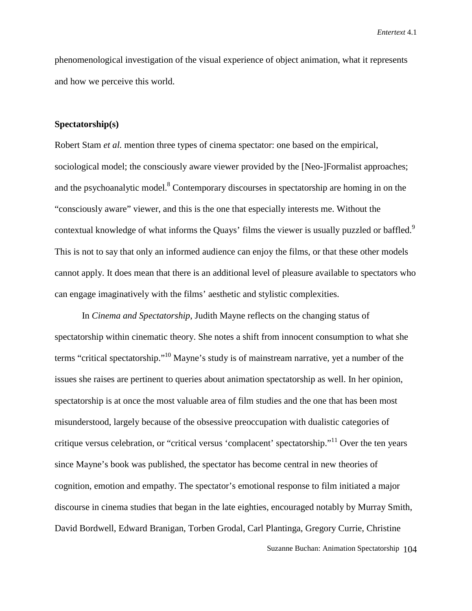phenomenological investigation of the visual experience of object animation, what it represents and how we perceive this world.

#### **Spectatorship(s)**

Robert Stam *et al.* mention three types of cinema spectator: one based on the empirical, sociological model; the consciously aware viewer provided by the [Neo-]Formalist approaches; and the psychoanalytic model.<sup>8</sup> Contemporary discourses in spectatorship are homing in on the "consciously aware" viewer, and this is the one that especially interests me. Without the contextual knowledge of what informs the Quays' films the viewer is usually puzzled or baffled.<sup>9</sup> This is not to say that only an informed audience can enjoy the films, or that these other models cannot apply. It does mean that there is an additional level of pleasure available to spectators who can engage imaginatively with the films' aesthetic and stylistic complexities.

In *Cinema and Spectatorship*, Judith Mayne reflects on the changing status of spectatorship within cinematic theory. She notes a shift from innocent consumption to what she terms "critical spectatorship."10 Mayne's study is of mainstream narrative, yet a number of the issues she raises are pertinent to queries about animation spectatorship as well. In her opinion, spectatorship is at once the most valuable area of film studies and the one that has been most misunderstood, largely because of the obsessive preoccupation with dualistic categories of critique versus celebration, or "critical versus 'complacent' spectatorship."11 Over the ten years since Mayne's book was published, the spectator has become central in new theories of cognition, emotion and empathy. The spectator's emotional response to film initiated a major discourse in cinema studies that began in the late eighties, encouraged notably by Murray Smith, David Bordwell, Edward Branigan, Torben Grodal, Carl Plantinga, Gregory Currie, Christine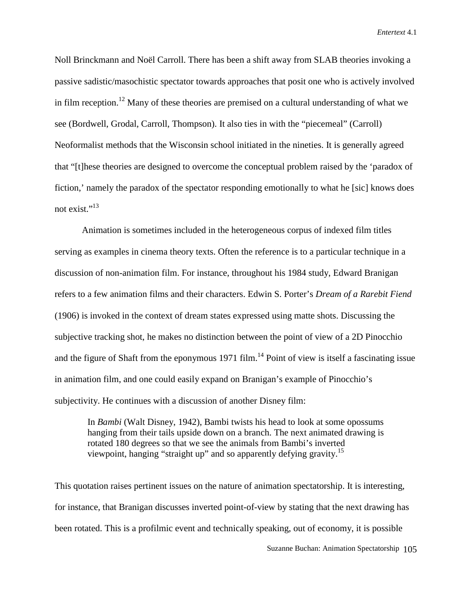Noll Brinckmann and Noël Carroll. There has been a shift away from SLAB theories invoking a passive sadistic/masochistic spectator towards approaches that posit one who is actively involved in film reception.<sup>12</sup> Many of these theories are premised on a cultural understanding of what we see (Bordwell, Grodal, Carroll, Thompson). It also ties in with the "piecemeal" (Carroll) Neoformalist methods that the Wisconsin school initiated in the nineties. It is generally agreed that "[t]hese theories are designed to overcome the conceptual problem raised by the 'paradox of fiction,' namely the paradox of the spectator responding emotionally to what he [sic] knows does not exist."<sup>13</sup>

Animation is sometimes included in the heterogeneous corpus of indexed film titles serving as examples in cinema theory texts. Often the reference is to a particular technique in a discussion of non-animation film. For instance, throughout his 1984 study, Edward Branigan refers to a few animation films and their characters. Edwin S. Porter's *Dream of a Rarebit Fiend* (1906) is invoked in the context of dream states expressed using matte shots. Discussing the subjective tracking shot, he makes no distinction between the point of view of a 2D Pinocchio and the figure of Shaft from the eponymous 1971 film.<sup>14</sup> Point of view is itself a fascinating issue in animation film, and one could easily expand on Branigan's example of Pinocchio's subjectivity. He continues with a discussion of another Disney film:

In *Bambi* (Walt Disney, 1942), Bambi twists his head to look at some opossums hanging from their tails upside down on a branch. The next animated drawing is rotated 180 degrees so that we see the animals from Bambi's inverted viewpoint, hanging "straight up" and so apparently defying gravity.<sup>15</sup>

This quotation raises pertinent issues on the nature of animation spectatorship. It is interesting, for instance, that Branigan discusses inverted point-of-view by stating that the next drawing has been rotated. This is a profilmic event and technically speaking, out of economy, it is possible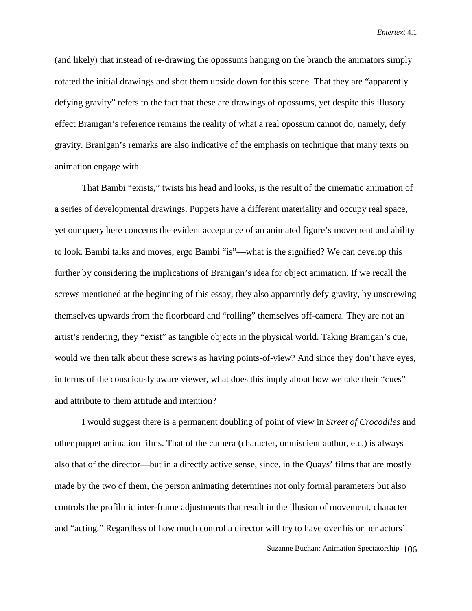(and likely) that instead of re-drawing the opossums hanging on the branch the animators simply rotated the initial drawings and shot them upside down for this scene. That they are "apparently defying gravity" refers to the fact that these are drawings of opossums, yet despite this illusory effect Branigan's reference remains the reality of what a real opossum cannot do, namely, defy gravity. Branigan's remarks are also indicative of the emphasis on technique that many texts on animation engage with.

That Bambi "exists," twists his head and looks, is the result of the cinematic animation of a series of developmental drawings. Puppets have a different materiality and occupy real space, yet our query here concerns the evident acceptance of an animated figure's movement and ability to look. Bambi talks and moves, ergo Bambi "is"—what is the signified? We can develop this further by considering the implications of Branigan's idea for object animation. If we recall the screws mentioned at the beginning of this essay, they also apparently defy gravity, by unscrewing themselves upwards from the floorboard and "rolling" themselves off-camera. They are not an artist's rendering, they "exist" as tangible objects in the physical world. Taking Branigan's cue, would we then talk about these screws as having points-of-view? And since they don't have eyes, in terms of the consciously aware viewer, what does this imply about how we take their "cues" and attribute to them attitude and intention?

I would suggest there is a permanent doubling of point of view in *Street of Crocodiles* and other puppet animation films. That of the camera (character, omniscient author, etc.) is always also that of the director—but in a directly active sense, since, in the Quays' films that are mostly made by the two of them, the person animating determines not only formal parameters but also controls the profilmic inter-frame adjustments that result in the illusion of movement, character and "acting." Regardless of how much control a director will try to have over his or her actors'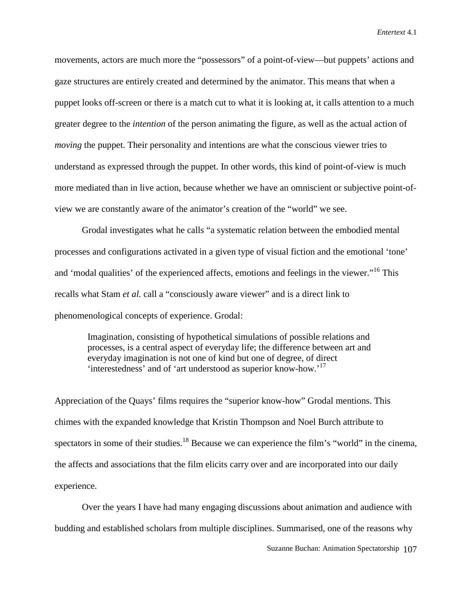movements, actors are much more the "possessors" of a point-of-view—but puppets' actions and gaze structures are entirely created and determined by the animator. This means that when a puppet looks off-screen or there is a match cut to what it is looking at, it calls attention to a much greater degree to the *intention* of the person animating the figure, as well as the actual action of *moving* the puppet. Their personality and intentions are what the conscious viewer tries to understand as expressed through the puppet. In other words, this kind of point-of-view is much more mediated than in live action, because whether we have an omniscient or subjective point-ofview we are constantly aware of the animator's creation of the "world" we see.

Grodal investigates what he calls "a systematic relation between the embodied mental processes and configurations activated in a given type of visual fiction and the emotional 'tone' and 'modal qualities' of the experienced affects, emotions and feelings in the viewer."<sup>16</sup> This recalls what Stam *et al.* call a "consciously aware viewer" and is a direct link to phenomenological concepts of experience. Grodal:

Imagination, consisting of hypothetical simulations of possible relations and processes, is a central aspect of everyday life; the difference between art and everyday imagination is not one of kind but one of degree, of direct 'interestedness' and of 'art understood as superior know-how.'<sup>17</sup>

Appreciation of the Quays' films requires the "superior know-how" Grodal mentions. This chimes with the expanded knowledge that Kristin Thompson and Noel Burch attribute to spectators in some of their studies.<sup>18</sup> Because we can experience the film's "world" in the cinema, the affects and associations that the film elicits carry over and are incorporated into our daily experience.

Over the years I have had many engaging discussions about animation and audience with budding and established scholars from multiple disciplines. Summarised, one of the reasons why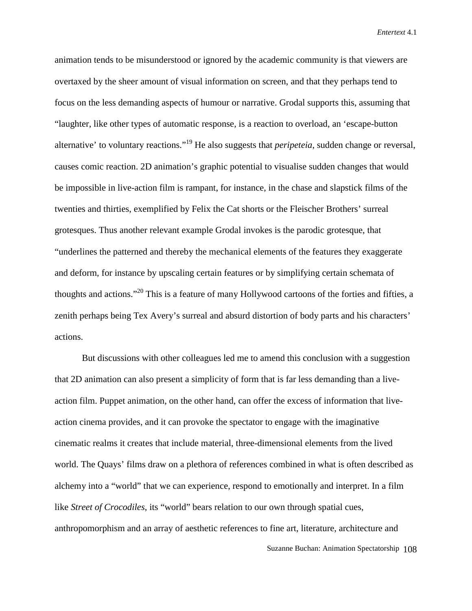animation tends to be misunderstood or ignored by the academic community is that viewers are overtaxed by the sheer amount of visual information on screen, and that they perhaps tend to focus on the less demanding aspects of humour or narrative. Grodal supports this, assuming that "laughter, like other types of automatic response, is a reaction to overload, an 'escape-button alternative' to voluntary reactions."19 He also suggests that *peripeteia*, sudden change or reversal, causes comic reaction. 2D animation's graphic potential to visualise sudden changes that would be impossible in live-action film is rampant, for instance, in the chase and slapstick films of the twenties and thirties, exemplified by Felix the Cat shorts or the Fleischer Brothers' surreal grotesques. Thus another relevant example Grodal invokes is the parodic grotesque, that "underlines the patterned and thereby the mechanical elements of the features they exaggerate and deform, for instance by upscaling certain features or by simplifying certain schemata of thoughts and actions."20 This is a feature of many Hollywood cartoons of the forties and fifties, a zenith perhaps being Tex Avery's surreal and absurd distortion of body parts and his characters' actions.

But discussions with other colleagues led me to amend this conclusion with a suggestion that 2D animation can also present a simplicity of form that is far less demanding than a liveaction film. Puppet animation, on the other hand, can offer the excess of information that liveaction cinema provides, and it can provoke the spectator to engage with the imaginative cinematic realms it creates that include material, three-dimensional elements from the lived world. The Quays' films draw on a plethora of references combined in what is often described as alchemy into a "world" that we can experience, respond to emotionally and interpret. In a film like *Street of Crocodiles*, its "world" bears relation to our own through spatial cues, anthropomorphism and an array of aesthetic references to fine art, literature, architecture and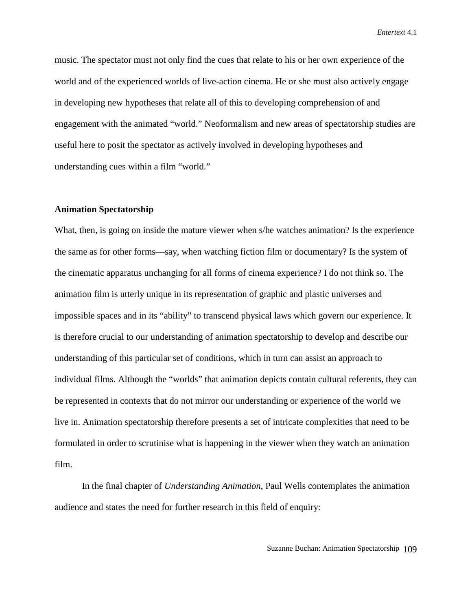music. The spectator must not only find the cues that relate to his or her own experience of the world and of the experienced worlds of live-action cinema. He or she must also actively engage in developing new hypotheses that relate all of this to developing comprehension of and engagement with the animated "world." Neoformalism and new areas of spectatorship studies are useful here to posit the spectator as actively involved in developing hypotheses and understanding cues within a film "world."

#### **Animation Spectatorship**

What, then, is going on inside the mature viewer when s/he watches animation? Is the experience the same as for other forms—say, when watching fiction film or documentary? Is the system of the cinematic apparatus unchanging for all forms of cinema experience? I do not think so. The animation film is utterly unique in its representation of graphic and plastic universes and impossible spaces and in its "ability" to transcend physical laws which govern our experience. It is therefore crucial to our understanding of animation spectatorship to develop and describe our understanding of this particular set of conditions, which in turn can assist an approach to individual films. Although the "worlds" that animation depicts contain cultural referents, they can be represented in contexts that do not mirror our understanding or experience of the world we live in. Animation spectatorship therefore presents a set of intricate complexities that need to be formulated in order to scrutinise what is happening in the viewer when they watch an animation film.

In the final chapter of *Understanding Animation*, Paul Wells contemplates the animation audience and states the need for further research in this field of enquiry: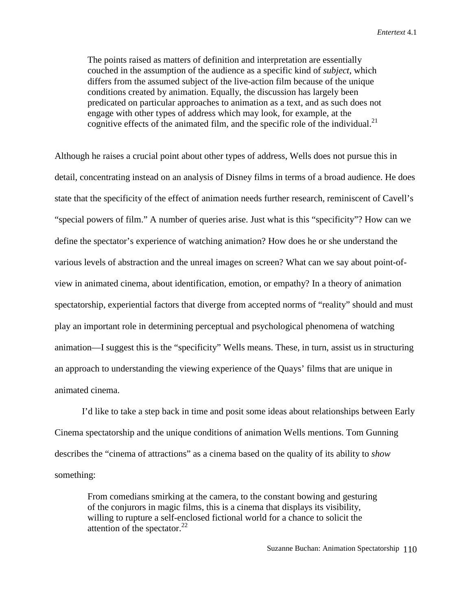The points raised as matters of definition and interpretation are essentially couched in the assumption of the audience as a specific kind of *subject*, which differs from the assumed subject of the live-action film because of the unique conditions created by animation. Equally, the discussion has largely been predicated on particular approaches to animation as a text, and as such does not engage with other types of address which may look, for example, at the cognitive effects of the animated film, and the specific role of the individual.<sup>21</sup>

Although he raises a crucial point about other types of address, Wells does not pursue this in detail, concentrating instead on an analysis of Disney films in terms of a broad audience. He does state that the specificity of the effect of animation needs further research, reminiscent of Cavell's "special powers of film." A number of queries arise. Just what is this "specificity"? How can we define the spectator's experience of watching animation? How does he or she understand the various levels of abstraction and the unreal images on screen? What can we say about point-ofview in animated cinema, about identification, emotion, or empathy? In a theory of animation spectatorship, experiential factors that diverge from accepted norms of "reality" should and must play an important role in determining perceptual and psychological phenomena of watching animation—I suggest this is the "specificity" Wells means. These, in turn, assist us in structuring an approach to understanding the viewing experience of the Quays' films that are unique in animated cinema.

I'd like to take a step back in time and posit some ideas about relationships between Early Cinema spectatorship and the unique conditions of animation Wells mentions. Tom Gunning describes the "cinema of attractions" as a cinema based on the quality of its ability to *show* something:

From comedians smirking at the camera, to the constant bowing and gesturing of the conjurors in magic films, this is a cinema that displays its visibility, willing to rupture a self-enclosed fictional world for a chance to solicit the attention of the spectator. $^{22}$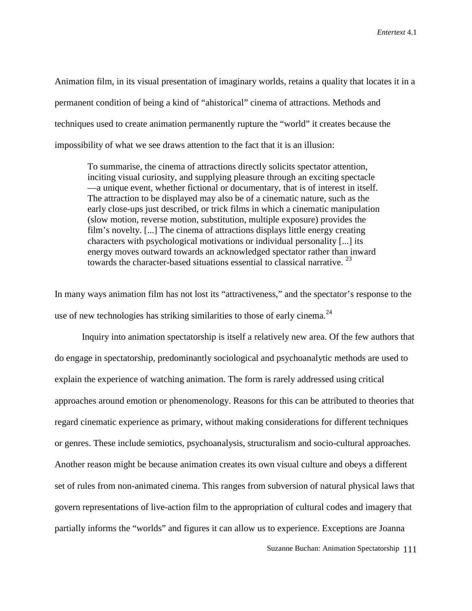Animation film, in its visual presentation of imaginary worlds, retains a quality that locates it in a permanent condition of being a kind of "ahistorical" cinema of attractions. Methods and techniques used to create animation permanently rupture the "world" it creates because the impossibility of what we see draws attention to the fact that it is an illusion:

To summarise, the cinema of attractions directly solicits spectator attention, inciting visual curiosity, and supplying pleasure through an exciting spectacle —a unique event, whether fictional or documentary, that is of interest in itself. The attraction to be displayed may also be of a cinematic nature, such as the early close-ups just described, or trick films in which a cinematic manipulation (slow motion, reverse motion, substitution, multiple exposure) provides the film's novelty. [...] The cinema of attractions displays little energy creating characters with psychological motivations or individual personality [...] its energy moves outward towards an acknowledged spectator rather than inward towards the character-based situations essential to classical narrative.<sup>23</sup>

In many ways animation film has not lost its "attractiveness," and the spectator's response to the use of new technologies has striking similarities to those of early cinema.<sup>24</sup>

Inquiry into animation spectatorship is itself a relatively new area. Of the few authors that do engage in spectatorship, predominantly sociological and psychoanalytic methods are used to explain the experience of watching animation. The form is rarely addressed using critical approaches around emotion or phenomenology. Reasons for this can be attributed to theories that regard cinematic experience as primary, without making considerations for different techniques or genres. These include semiotics, psychoanalysis, structuralism and socio-cultural approaches. Another reason might be because animation creates its own visual culture and obeys a different set of rules from non-animated cinema. This ranges from subversion of natural physical laws that govern representations of live-action film to the appropriation of cultural codes and imagery that partially informs the "worlds" and figures it can allow us to experience. Exceptions are Joanna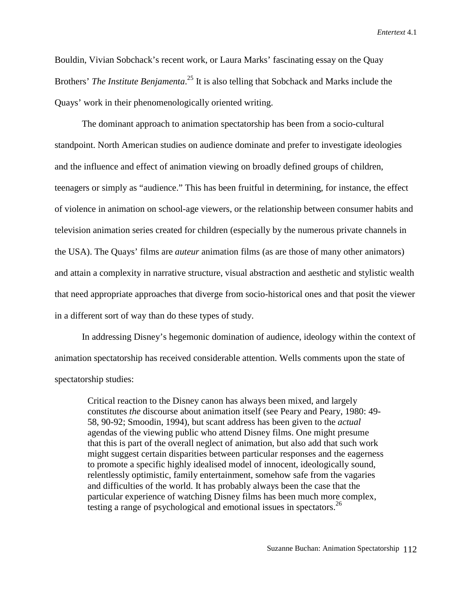Bouldin, Vivian Sobchack's recent work, or Laura Marks' fascinating essay on the Quay Brothers' *The Institute Benjamenta*. 25 It is also telling that Sobchack and Marks include the Quays' work in their phenomenologically oriented writing.

The dominant approach to animation spectatorship has been from a socio-cultural standpoint. North American studies on audience dominate and prefer to investigate ideologies and the influence and effect of animation viewing on broadly defined groups of children, teenagers or simply as "audience." This has been fruitful in determining, for instance, the effect of violence in animation on school-age viewers, or the relationship between consumer habits and television animation series created for children (especially by the numerous private channels in the USA). The Quays' films are *auteur* animation films (as are those of many other animators) and attain a complexity in narrative structure, visual abstraction and aesthetic and stylistic wealth that need appropriate approaches that diverge from socio-historical ones and that posit the viewer in a different sort of way than do these types of study.

In addressing Disney's hegemonic domination of audience, ideology within the context of animation spectatorship has received considerable attention. Wells comments upon the state of spectatorship studies:

Critical reaction to the Disney canon has always been mixed, and largely constitutes *the* discourse about animation itself (see Peary and Peary, 1980: 49- 58, 90-92; Smoodin, 1994), but scant address has been given to the *actual* agendas of the viewing public who attend Disney films. One might presume that this is part of the overall neglect of animation, but also add that such work might suggest certain disparities between particular responses and the eagerness to promote a specific highly idealised model of innocent, ideologically sound, relentlessly optimistic, family entertainment, somehow safe from the vagaries and difficulties of the world. It has probably always been the case that the particular experience of watching Disney films has been much more complex, testing a range of psychological and emotional issues in spectators.<sup>26</sup>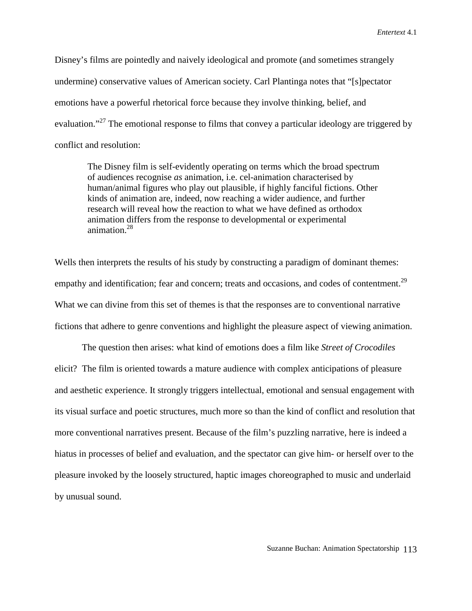Disney's films are pointedly and naively ideological and promote (and sometimes strangely undermine) conservative values of American society. Carl Plantinga notes that "[s]pectator emotions have a powerful rhetorical force because they involve thinking, belief, and evaluation."<sup>27</sup> The emotional response to films that convey a particular ideology are triggered by conflict and resolution:

The Disney film is self-evidently operating on terms which the broad spectrum of audiences recognise *as* animation, i.e. cel-animation characterised by human/animal figures who play out plausible, if highly fanciful fictions. Other kinds of animation are, indeed, now reaching a wider audience, and further research will reveal how the reaction to what we have defined as orthodox animation differs from the response to developmental or experimental animation $128$ 

Wells then interprets the results of his study by constructing a paradigm of dominant themes: empathy and identification; fear and concern; treats and occasions, and codes of contentment.<sup>29</sup> What we can divine from this set of themes is that the responses are to conventional narrative fictions that adhere to genre conventions and highlight the pleasure aspect of viewing animation.

The question then arises: what kind of emotions does a film like *Street of Crocodiles* elicit? The film is oriented towards a mature audience with complex anticipations of pleasure and aesthetic experience. It strongly triggers intellectual, emotional and sensual engagement with its visual surface and poetic structures, much more so than the kind of conflict and resolution that more conventional narratives present. Because of the film's puzzling narrative, here is indeed a hiatus in processes of belief and evaluation, and the spectator can give him- or herself over to the pleasure invoked by the loosely structured, haptic images choreographed to music and underlaid by unusual sound.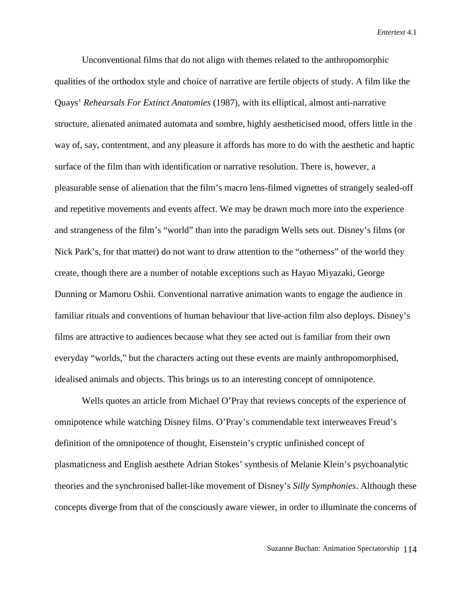Unconventional films that do not align with themes related to the anthropomorphic qualities of the orthodox style and choice of narrative are fertile objects of study. A film like the Quays' *Rehearsals For Extinct Anatomies* (1987), with its elliptical, almost anti-narrative structure, alienated animated automata and sombre, highly aestheticised mood, offers little in the way of, say, contentment, and any pleasure it affords has more to do with the aesthetic and haptic surface of the film than with identification or narrative resolution. There is, however, a pleasurable sense of alienation that the film's macro lens-filmed vignettes of strangely sealed-off and repetitive movements and events affect. We may be drawn much more into the experience and strangeness of the film's "world" than into the paradigm Wells sets out. Disney's films (or Nick Park's, for that matter) do not want to draw attention to the "otherness" of the world they create, though there are a number of notable exceptions such as Hayao Miyazaki, George Dunning or Mamoru Oshii. Conventional narrative animation wants to engage the audience in familiar rituals and conventions of human behaviour that live-action film also deploys. Disney's films are attractive to audiences because what they see acted out is familiar from their own everyday "worlds," but the characters acting out these events are mainly anthropomorphised, idealised animals and objects. This brings us to an interesting concept of omnipotence.

Wells quotes an article from Michael O'Pray that reviews concepts of the experience of omnipotence while watching Disney films. O'Pray's commendable text interweaves Freud's definition of the omnipotence of thought, Eisenstein's cryptic unfinished concept of plasmaticness and English aesthete Adrian Stokes' synthesis of Melanie Klein's psychoanalytic theories and the synchronised ballet-like movement of Disney's *Silly Symphonies*. Although these concepts diverge from that of the consciously aware viewer, in order to illuminate the concerns of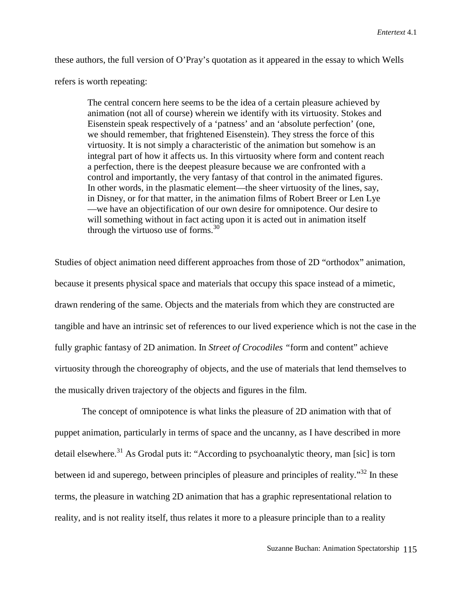these authors, the full version of O'Pray's quotation as it appeared in the essay to which Wells refers is worth repeating:

The central concern here seems to be the idea of a certain pleasure achieved by animation (not all of course) wherein we identify with its virtuosity. Stokes and Eisenstein speak respectively of a 'patness' and an 'absolute perfection' (one, we should remember, that frightened Eisenstein). They stress the force of this virtuosity. It is not simply a characteristic of the animation but somehow is an integral part of how it affects us. In this virtuosity where form and content reach a perfection, there is the deepest pleasure because we are confronted with a control and importantly, the very fantasy of that control in the animated figures. In other words, in the plasmatic element—the sheer virtuosity of the lines, say, in Disney, or for that matter, in the animation films of Robert Breer or Len Lye —we have an objectification of our own desire for omnipotence. Our desire to will something without in fact acting upon it is acted out in animation itself through the virtuoso use of forms. $30^{\circ}$ 

Studies of object animation need different approaches from those of 2D "orthodox" animation, because it presents physical space and materials that occupy this space instead of a mimetic, drawn rendering of the same. Objects and the materials from which they are constructed are tangible and have an intrinsic set of references to our lived experience which is not the case in the fully graphic fantasy of 2D animation. In *Street of Crocodiles "*form and content" achieve virtuosity through the choreography of objects, and the use of materials that lend themselves to the musically driven trajectory of the objects and figures in the film.

The concept of omnipotence is what links the pleasure of 2D animation with that of puppet animation, particularly in terms of space and the uncanny, as I have described in more detail elsewhere.<sup>31</sup> As Grodal puts it: "According to psychoanalytic theory, man [sic] is torn between id and superego, between principles of pleasure and principles of reality."<sup>32</sup> In these terms, the pleasure in watching 2D animation that has a graphic representational relation to reality, and is not reality itself, thus relates it more to a pleasure principle than to a reality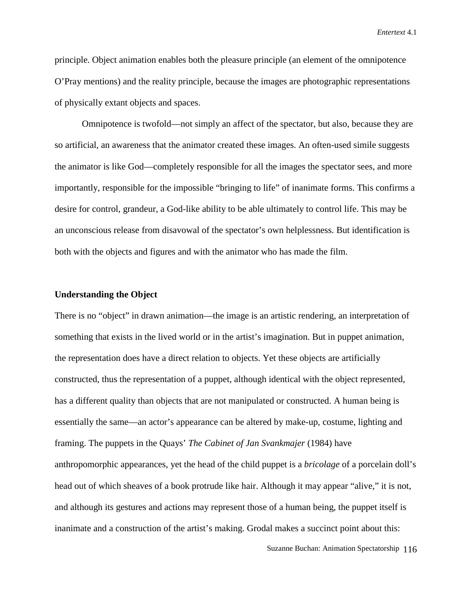principle. Object animation enables both the pleasure principle (an element of the omnipotence O'Pray mentions) and the reality principle, because the images are photographic representations of physically extant objects and spaces.

Omnipotence is twofold—not simply an affect of the spectator, but also, because they are so artificial, an awareness that the animator created these images. An often-used simile suggests the animator is like God—completely responsible for all the images the spectator sees, and more importantly, responsible for the impossible "bringing to life" of inanimate forms. This confirms a desire for control, grandeur, a God-like ability to be able ultimately to control life. This may be an unconscious release from disavowal of the spectator's own helplessness. But identification is both with the objects and figures and with the animator who has made the film.

#### **Understanding the Object**

There is no "object" in drawn animation—the image is an artistic rendering, an interpretation of something that exists in the lived world or in the artist's imagination. But in puppet animation, the representation does have a direct relation to objects. Yet these objects are artificially constructed, thus the representation of a puppet, although identical with the object represented, has a different quality than objects that are not manipulated or constructed. A human being is essentially the same—an actor's appearance can be altered by make-up, costume, lighting and framing. The puppets in the Quays' *The Cabinet of Jan Svankmajer* (1984) have anthropomorphic appearances, yet the head of the child puppet is a *bricolage* of a porcelain doll's head out of which sheaves of a book protrude like hair. Although it may appear "alive," it is not, and although its gestures and actions may represent those of a human being, the puppet itself is inanimate and a construction of the artist's making. Grodal makes a succinct point about this: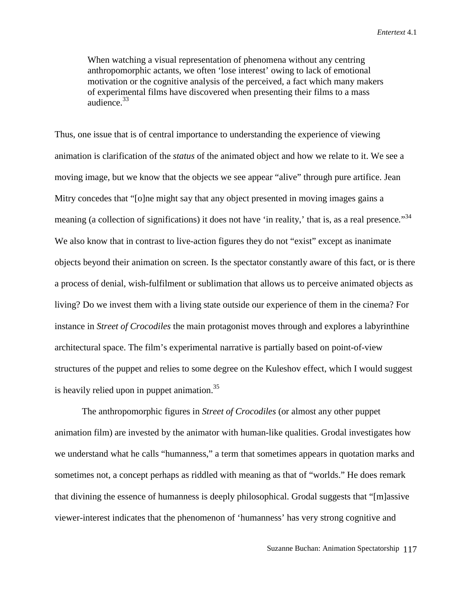When watching a visual representation of phenomena without any centring anthropomorphic actants, we often 'lose interest' owing to lack of emotional motivation or the cognitive analysis of the perceived, a fact which many makers of experimental films have discovered when presenting their films to a mass audience.<sup>33</sup>

Thus, one issue that is of central importance to understanding the experience of viewing animation is clarification of the *status* of the animated object and how we relate to it. We see a moving image, but we know that the objects we see appear "alive" through pure artifice. Jean Mitry concedes that "[o]ne might say that any object presented in moving images gains a meaning (a collection of significations) it does not have 'in reality,' that is, as a real presence."<sup>34</sup> We also know that in contrast to live-action figures they do not "exist" except as inanimate objects beyond their animation on screen. Is the spectator constantly aware of this fact, or is there a process of denial, wish-fulfilment or sublimation that allows us to perceive animated objects as living? Do we invest them with a living state outside our experience of them in the cinema? For instance in *Street of Crocodiles* the main protagonist moves through and explores a labyrinthine architectural space. The film's experimental narrative is partially based on point-of-view structures of the puppet and relies to some degree on the Kuleshov effect, which I would suggest is heavily relied upon in puppet animation. $35$ 

The anthropomorphic figures in *Street of Crocodiles* (or almost any other puppet animation film) are invested by the animator with human-like qualities. Grodal investigates how we understand what he calls "humanness," a term that sometimes appears in quotation marks and sometimes not, a concept perhaps as riddled with meaning as that of "worlds." He does remark that divining the essence of humanness is deeply philosophical. Grodal suggests that "[m]assive viewer-interest indicates that the phenomenon of 'humanness' has very strong cognitive and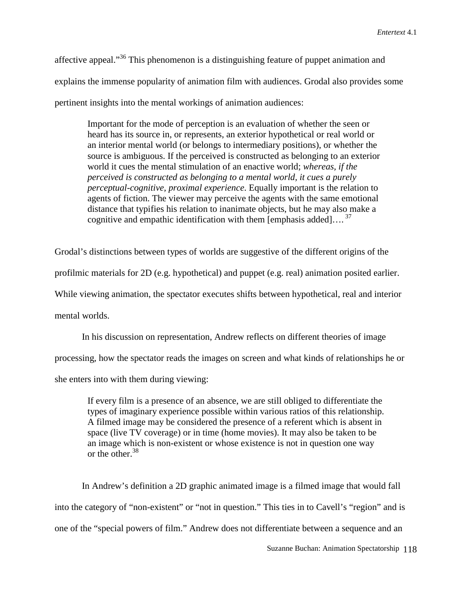affective appeal."<sup>36</sup> This phenomenon is a distinguishing feature of puppet animation and explains the immense popularity of animation film with audiences. Grodal also provides some pertinent insights into the mental workings of animation audiences:

Important for the mode of perception is an evaluation of whether the seen or heard has its source in, or represents, an exterior hypothetical or real world or an interior mental world (or belongs to intermediary positions), or whether the source is ambiguous. If the perceived is constructed as belonging to an exterior world it cues the mental stimulation of an enactive world; *whereas, if the perceived is constructed as belonging to a mental world, it cues a purely perceptual-cognitive, proximal experience*. Equally important is the relation to agents of fiction. The viewer may perceive the agents with the same emotional distance that typifies his relation to inanimate objects, but he may also make a cognitive and empathic identification with them [emphasis added].... $^{37}$ 

Grodal's distinctions between types of worlds are suggestive of the different origins of the

profilmic materials for 2D (e.g. hypothetical) and puppet (e.g. real) animation posited earlier.

While viewing animation, the spectator executes shifts between hypothetical, real and interior

mental worlds.

In his discussion on representation, Andrew reflects on different theories of image

processing, how the spectator reads the images on screen and what kinds of relationships he or

she enters into with them during viewing:

If every film is a presence of an absence, we are still obliged to differentiate the types of imaginary experience possible within various ratios of this relationship. A filmed image may be considered the presence of a referent which is absent in space (live TV coverage) or in time (home movies). It may also be taken to be an image which is non-existent or whose existence is not in question one way or the other.<sup>38</sup>

In Andrew's definition a 2D graphic animated image is a filmed image that would fall into the category of "non-existent" or "not in question." This ties in to Cavell's "region" and is one of the "special powers of film." Andrew does not differentiate between a sequence and an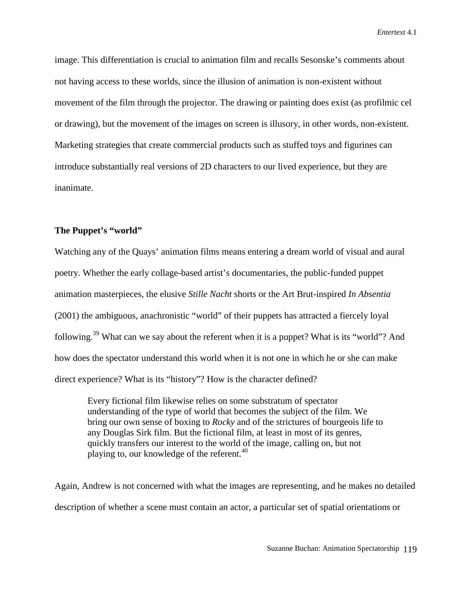image. This differentiation is crucial to animation film and recalls Sesonske's comments about not having access to these worlds, since the illusion of animation is non-existent without movement of the film through the projector. The drawing or painting does exist (as profilmic cel or drawing), but the movement of the images on screen is illusory, in other words, non-existent. Marketing strategies that create commercial products such as stuffed toys and figurines can introduce substantially real versions of 2D characters to our lived experience, but they are inanimate.

## **The Puppet's "world"**

Watching any of the Quays' animation films means entering a dream world of visual and aural poetry. Whether the early collage-based artist's documentaries, the public-funded puppet animation masterpieces, the elusive *Stille Nacht* shorts or the Art Brut-inspired *In Absentia* (2001) the ambiguous, anachronistic "world" of their puppets has attracted a fiercely loyal following.39 What can we say about the referent when it is a puppet? What is its "world"? And how does the spectator understand this world when it is not one in which he or she can make direct experience? What is its "history"? How is the character defined?

Every fictional film likewise relies on some substratum of spectator understanding of the type of world that becomes the subject of the film. We bring our own sense of boxing to *Rocky* and of the strictures of bourgeois life to any Douglas Sirk film. But the fictional film, at least in most of its genres, quickly transfers our interest to the world of the image, calling on, but not playing to, our knowledge of the referent.<sup>40</sup>

Again, Andrew is not concerned with what the images are representing, and he makes no detailed description of whether a scene must contain an actor, a particular set of spatial orientations or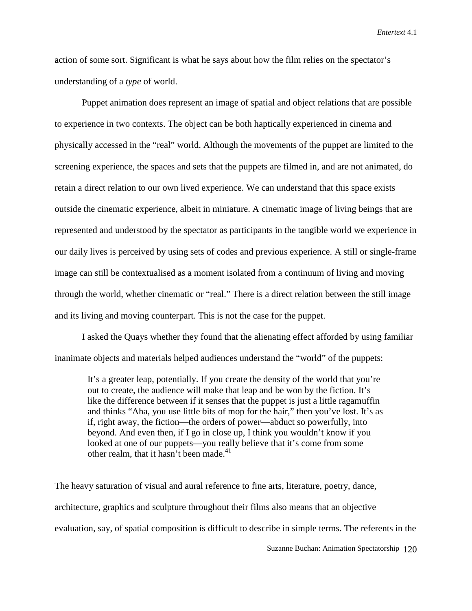action of some sort. Significant is what he says about how the film relies on the spectator's understanding of a *type* of world.

Puppet animation does represent an image of spatial and object relations that are possible to experience in two contexts. The object can be both haptically experienced in cinema and physically accessed in the "real" world. Although the movements of the puppet are limited to the screening experience, the spaces and sets that the puppets are filmed in, and are not animated, do retain a direct relation to our own lived experience. We can understand that this space exists outside the cinematic experience, albeit in miniature. A cinematic image of living beings that are represented and understood by the spectator as participants in the tangible world we experience in our daily lives is perceived by using sets of codes and previous experience. A still or single-frame image can still be contextualised as a moment isolated from a continuum of living and moving through the world, whether cinematic or "real." There is a direct relation between the still image and its living and moving counterpart. This is not the case for the puppet.

I asked the Quays whether they found that the alienating effect afforded by using familiar inanimate objects and materials helped audiences understand the "world" of the puppets:

It's a greater leap, potentially. If you create the density of the world that you're out to create, the audience will make that leap and be won by the fiction. It's like the difference between if it senses that the puppet is just a little ragamuffin and thinks "Aha, you use little bits of mop for the hair," then you've lost. It's as if, right away, the fiction—the orders of power—abduct so powerfully, into beyond. And even then, if I go in close up, I think you wouldn't know if you looked at one of our puppets—you really believe that it's come from some other realm, that it hasn't been made.<sup>41</sup>

The heavy saturation of visual and aural reference to fine arts, literature, poetry, dance, architecture, graphics and sculpture throughout their films also means that an objective evaluation, say, of spatial composition is difficult to describe in simple terms. The referents in the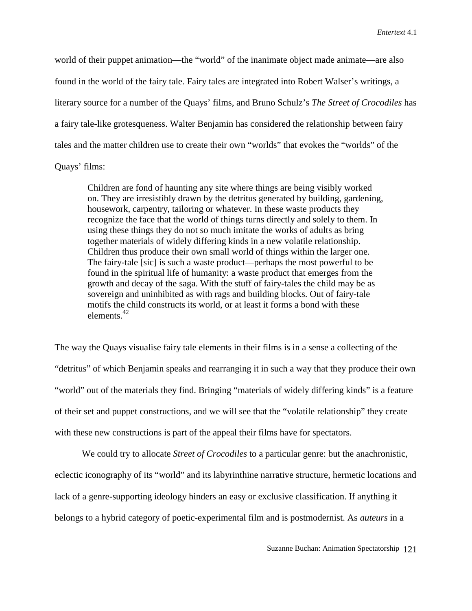world of their puppet animation—the "world" of the inanimate object made animate—are also found in the world of the fairy tale. Fairy tales are integrated into Robert Walser's writings, a literary source for a number of the Quays' films, and Bruno Schulz's *The Street of Crocodiles* has a fairy tale-like grotesqueness. Walter Benjamin has considered the relationship between fairy tales and the matter children use to create their own "worlds" that evokes the "worlds" of the

Quays' films:

Children are fond of haunting any site where things are being visibly worked on. They are irresistibly drawn by the detritus generated by building, gardening, housework, carpentry, tailoring or whatever. In these waste products they recognize the face that the world of things turns directly and solely to them. In using these things they do not so much imitate the works of adults as bring together materials of widely differing kinds in a new volatile relationship. Children thus produce their own small world of things within the larger one. The fairy-tale [sic] is such a waste product—perhaps the most powerful to be found in the spiritual life of humanity: a waste product that emerges from the growth and decay of the saga. With the stuff of fairy-tales the child may be as sovereign and uninhibited as with rags and building blocks. Out of fairy-tale motifs the child constructs its world, or at least it forms a bond with these elements.<sup>42</sup>

The way the Quays visualise fairy tale elements in their films is in a sense a collecting of the "detritus" of which Benjamin speaks and rearranging it in such a way that they produce their own "world" out of the materials they find. Bringing "materials of widely differing kinds" is a feature of their set and puppet constructions, and we will see that the "volatile relationship" they create with these new constructions is part of the appeal their films have for spectators.

We could try to allocate *Street of Crocodiles* to a particular genre: but the anachronistic, eclectic iconography of its "world" and its labyrinthine narrative structure, hermetic locations and lack of a genre-supporting ideology hinders an easy or exclusive classification. If anything it belongs to a hybrid category of poetic-experimental film and is postmodernist. As *auteurs* in a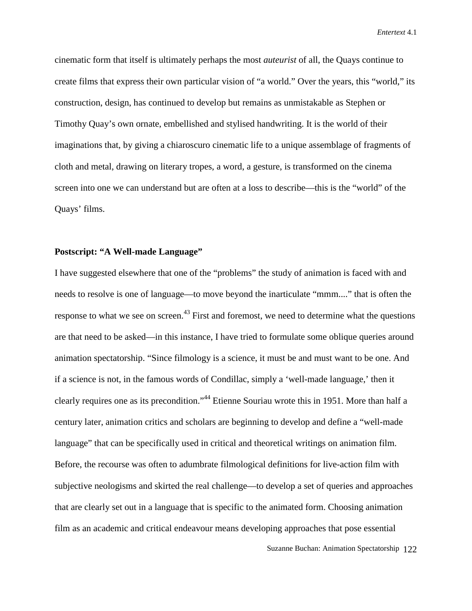cinematic form that itself is ultimately perhaps the most *auteurist* of all, the Quays continue to create films that express their own particular vision of "a world." Over the years, this "world," its construction, design, has continued to develop but remains as unmistakable as Stephen or Timothy Quay's own ornate, embellished and stylised handwriting. It is the world of their imaginations that, by giving a chiaroscuro cinematic life to a unique assemblage of fragments of cloth and metal, drawing on literary tropes, a word, a gesture, is transformed on the cinema screen into one we can understand but are often at a loss to describe—this is the "world" of the Quays' films.

## **Postscript: "A Well-made Language"**

I have suggested elsewhere that one of the "problems" the study of animation is faced with and needs to resolve is one of language—to move beyond the inarticulate "mmm...." that is often the response to what we see on screen.<sup>43</sup> First and foremost, we need to determine what the questions are that need to be asked—in this instance, I have tried to formulate some oblique queries around animation spectatorship. "Since filmology is a science, it must be and must want to be one. And if a science is not, in the famous words of Condillac, simply a 'well-made language,' then it clearly requires one as its precondition."44 Etienne Souriau wrote this in 1951. More than half a century later, animation critics and scholars are beginning to develop and define a "well-made language" that can be specifically used in critical and theoretical writings on animation film. Before, the recourse was often to adumbrate filmological definitions for live-action film with subjective neologisms and skirted the real challenge—to develop a set of queries and approaches that are clearly set out in a language that is specific to the animated form. Choosing animation film as an academic and critical endeavour means developing approaches that pose essential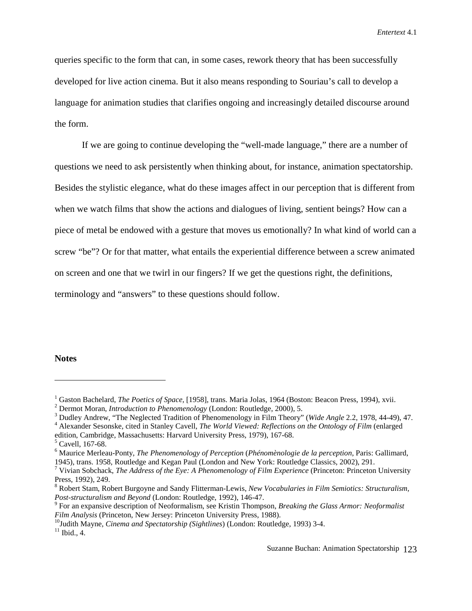queries specific to the form that can, in some cases, rework theory that has been successfully developed for live action cinema. But it also means responding to Souriau's call to develop a language for animation studies that clarifies ongoing and increasingly detailed discourse around the form.

If we are going to continue developing the "well-made language," there are a number of questions we need to ask persistently when thinking about, for instance, animation spectatorship. Besides the stylistic elegance, what do these images affect in our perception that is different from when we watch films that show the actions and dialogues of living, sentient beings? How can a piece of metal be endowed with a gesture that moves us emotionally? In what kind of world can a screw "be"? Or for that matter, what entails the experiential difference between a screw animated on screen and one that we twirl in our fingers? If we get the questions right, the definitions, terminology and "answers" to these questions should follow.

#### **Notes**

 $\overline{a}$ 

<sup>&</sup>lt;sup>1</sup> Gaston Bachelard, *The Poetics of Space*, [1958], trans. Maria Jolas, 1964 (Boston: Beacon Press, 1994), xvii.<br><sup>2</sup> Dermot Moran, *Introduction to Bhanomanology* (London: Boytledge, 2000), 5

<sup>&</sup>lt;sup>2</sup> Dermot Moran, *Introduction to Phenomenology* (London: Routledge, 2000), 5.

Dudley Andrew, "The Neglected Tradition of Phenomenology in Film Theory" (*Wide Angle* 2.2, 1978, 44-49), 47. 4

Alexander Sesonske, cited in Stanley Cavell, *The World Viewed: Reflections on the Ontology of Film* (enlarged

edition, Cambridge, Massachusetts: Harvard University Press, 1979), 167-68. <sup>5</sup> Cavell, 167-68.

<sup>6</sup> Maurice Merleau-Ponty, *The Phenomenology of Perception* (*Phénomènologie de la perception*, Paris: Gallimard, 1945), trans. 1958, Routledge and Kegan Paul (London and New York: Routledge Classics, 2002), 291.

<sup>7</sup> Vivian Sobchack, *The Address of the Eye: A Phenomenology of Film Experience* (Princeton: Princeton University Press, 1992), 249.

<sup>8</sup> Robert Stam, Robert Burgoyne and Sandy Flitterman-Lewis, *New Vocabularies in Film Semiotics: Structuralism,*  Post-structuralism and Beyond (London: Routledge, 1992), 146-47.

For an expansive description of Neoformalism, see Kristin Thompson, *Breaking the Glass Armor: Neoformalist Film Analysis* (Princeton, New Jersey: Princeton University Press, 1988).<br><sup>10</sup>Judith Mayne, *Cinema and Spectatorship (Sightlines*) (London: Routledge, 1993) 3-4.<br><sup>11</sup> Ibid., 4.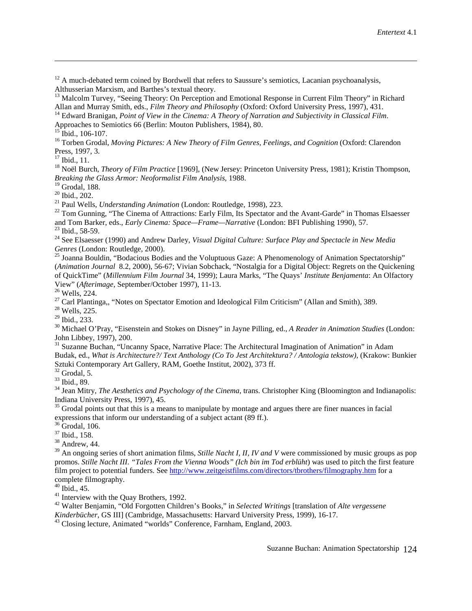$12$  A much-debated term coined by Bordwell that refers to Saussure's semiotics, Lacanian psychoanalysis, Althusserian Marxism, and Barthes's textual theory.

- <sup>13</sup> Malcolm Turvey, "Seeing Theory: On Perception and Emotional Response in Current Film Theory" in Richard Allan and Murray Smith, eds., *Film Theory and Philosophy* (Oxford: Oxford University Press, 1997), 431.
- <sup>14</sup> Edward Branigan, *Point of View in the Cinema: A Theory of Narration and Subjectivity in Classical Film.* Approaches to Semiotics 66 (Berlin: Mouton Publishers, 1984), 80.

 $15$  Ibid., 106-107.

<sup>16</sup> Torben Grodal, *Moving Pictures: A New Theory of Film Genres, Feelings, and Cognition* (Oxford: Clarendon Press, 1997, 3.

 $17$  Ibid., 11.

 $\overline{a}$ 

18 Noël Burch, *Theory of Film Practice* [1969], (New Jersey: Princeton University Press, 1981); Kristin Thompson, *Breaking the Glass Armor: Neoformalist Film Analysis*, 1988.

19 Grodal, 188.

 $^{20}$  Ibid., 202.<br><sup>21</sup> Paul Wells, *Understanding Animation* (London: Routledge, 1998), 223.

<sup>22</sup> Tom Gunning, "The Cinema of Attractions: Early Film, Its Spectator and the Avant-Garde" in Thomas Elsaesser and Tom Barker, eds., *Early Cinema: Space—Frame—Narrative* (London: BFI Publishing 1990), 57.<br><sup>23</sup> Ibid., 58-59.

<sup>24</sup> See Elsaesser (1990) and Andrew Darley, *Visual Digital Culture: Surface Play and Spectacle in New Media Genres* (London: Routledge, 2000).

<sup>25</sup> Joanna Bouldin, "Bodacious Bodies and the Voluptuous Gaze: A Phenomenology of Animation Spectatorship" (*Animation Journal* 8.2, 2000), 56-67; Vivian Sobchack, "Nostalgia for a Digital Object: Regrets on the Quickening of QuickTime" (*Millennium Film Journal* 34, 1999); Laura Marks, "The Quays' *Institute Benjamenta*: An Olfactory View" (*Afterimage*, September/October 1997), 11-13. 26 Wells, 224.

<sup>27</sup> Carl Plantinga,, "Notes on Spectator Emotion and Ideological Film Criticism" (Allan and Smith), 389. <sup>28</sup> Wells, 225.

 $29$  Ibid., 233.

30 Michael O'Pray, "Eisenstein and Stokes on Disney" in Jayne Pilling, ed., *A Reader in Animation Studies* (London: John Libbey, 1997), 200.

<sup>31</sup> Suzanne Buchan, "Uncanny Space, Narrative Place: The Architectural Imagination of Animation" in Adam Budak, ed., *What is Architecture?/ Text Anthology (Co To Jest Architektura? / Antologia tekstow)*, (Krakow: Bunkier Sztuki Contemporary Art Gallery, RAM, Goethe Institut, 2002), 373 ff.

 $32$  Grodal, 5.

33 Ibid., 89.

<sup>34</sup> Jean Mitry, *The Aesthetics and Psychology of the Cinema*, trans. Christopher King (Bloomington and Indianapolis: Indiana University Press, 1997), 45.

<sup>35</sup> Grodal points out that this is a means to manipulate by montage and argues there are finer nuances in facial expressions that inform our understanding of a subject actant (89 ff.).

36 Grodal, 106.

37 Ibid., 158.

 $38$  Andrew, 44.

<sup>39</sup> An ongoing series of short animation films, *Stille Nacht I, II, IV and V* were commissioned by music groups as pop promos. *Stille Nacht III*. *"Tales From the Vienna Woods" (Ich bin im Tod erblüht*) was used to pitch the first feature film project to potential funders. See http://www.zeitgeistfilms.com/directors/tbrothers/filmography.htm for a complete filmography.

 $40$  Ibid., 45.

<sup>41</sup> Interview with the Quay Brothers, 1992.

42 Walter Benjamin, "Old Forgotten Children's Books," in *Selected Writings* [translation of *Alte vergessene* 

<sup>43</sup> Closing lecture, Animated "worlds" Conference, Farnham, England, 2003.